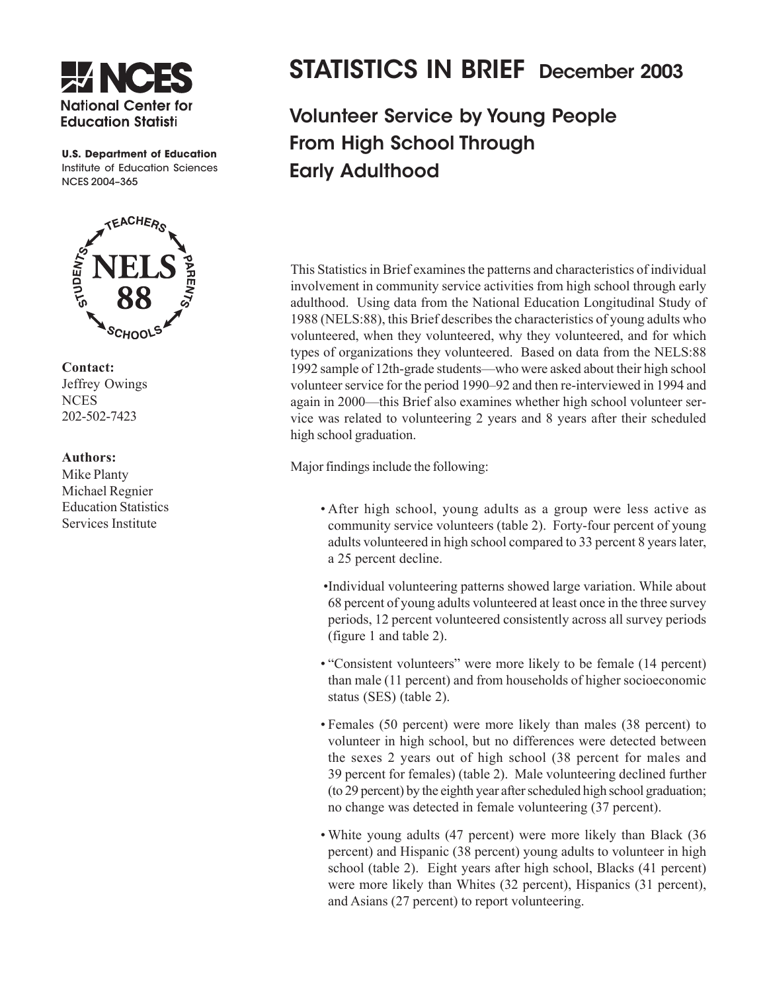

**U.S. Department of Education**  Institute of Education Sciences NCES 2004–365



**Contact:**  Jeffrey Owings **NCES** 202-502-7423

## **Authors:**

Mike Planty Michael Regnier Education Statistics Services Institute

# STATISTICS IN BRIEF December 2003

Volunteer Service by Young People From High School Through Early Adulthood

This Statistics in Brief examines the patterns and characteristics of individual involvement in community service activities from high school through early adulthood. Using data from the National Education Longitudinal Study of 1988 (NELS:88), this Brief describes the characteristics of young adults who volunteered, when they volunteered, why they volunteered, and for which types of organizations they volunteered. Based on data from the NELS:88 1992 sample of 12th-grade students—who were asked about their high school volunteer service for the period 1990–92 and then re-interviewed in 1994 and again in 2000—this Brief also examines whether high school volunteer service was related to volunteering 2 years and 8 years after their scheduled high school graduation.

Major findings include the following:

- After high school, young adults as a group were less active as community service volunteers (table 2). Forty-four percent of young adults volunteered in high school compared to 33 percent 8 years later, a 25 percent decline.
- Individual volunteering patterns showed large variation. While about 68 percent of young adults volunteered at least once in the three survey periods, 12 percent volunteered consistently across all survey periods (figure 1 and table 2).
- "Consistent volunteers" were more likely to be female (14 percent) than male (11 percent) and from households of higher socioeconomic status (SES) (table 2).
- Females (50 percent) were more likely than males (38 percent) to volunteer in high school, but no differences were detected between the sexes 2 years out of high school (38 percent for males and 39 percent for females) (table 2). Male volunteering declined further (to 29 percent) by the eighth year after scheduled high school graduation; no change was detected in female volunteering (37 percent).
- White young adults (47 percent) were more likely than Black (36 percent) and Hispanic (38 percent) young adults to volunteer in high school (table 2). Eight years after high school, Blacks (41 percent) were more likely than Whites (32 percent), Hispanics (31 percent), and Asians (27 percent) to report volunteering.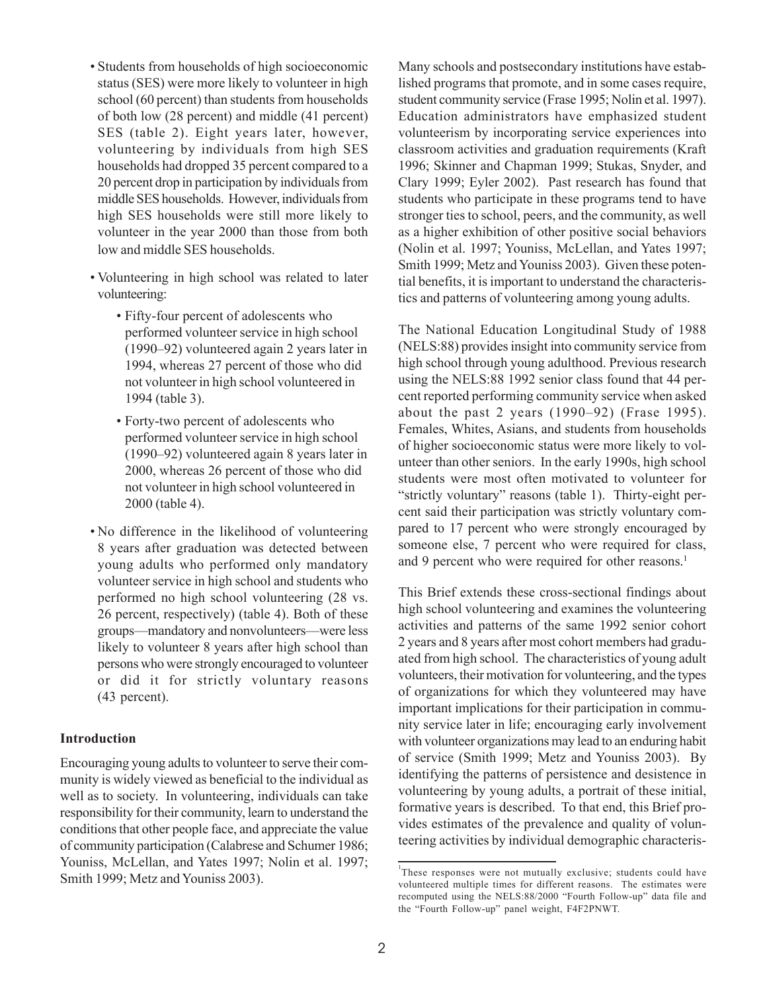- Students from households of high socioeconomic status (SES) were more likely to volunteer in high school (60 percent) than students from households of both low (28 percent) and middle (41 percent) SES (table 2). Eight years later, however, volunteering by individuals from high SES households had dropped 35 percent compared to a 20 percent drop in participation by individuals from middle SES households. However, individuals from high SES households were still more likely to volunteer in the year 2000 than those from both low and middle SES households.
- Volunteering in high school was related to later volunteering:
	- Fifty-four percent of adolescents who performed volunteer service in high school (1990–92) volunteered again 2 years later in 1994, whereas 27 percent of those who did not volunteer in high school volunteered in 1994 (table 3).
	- Forty-two percent of adolescents who performed volunteer service in high school (1990–92) volunteered again 8 years later in 2000, whereas 26 percent of those who did not volunteer in high school volunteered in 2000 (table 4).
- No difference in the likelihood of volunteering 8 years after graduation was detected between young adults who performed only mandatory volunteer service in high school and students who performed no high school volunteering (28 vs. 26 percent, respectively) (table 4). Both of these groups—mandatory and nonvolunteers—were less likely to volunteer 8 years after high school than persons who were strongly encouraged to volunteer or did it for strictly voluntary reasons (43 percent).

## **Introduction**

Encouraging young adults to volunteer to serve their community is widely viewed as beneficial to the individual as well as to society. In volunteering, individuals can take responsibility for their community, learn to understand the conditions that other people face, and appreciate the value of community participation (Calabrese and Schumer 1986; Youniss, McLellan, and Yates 1997; Nolin et al. 1997; Smith 1999; Metz and Youniss 2003).

Many schools and postsecondary institutions have established programs that promote, and in some cases require, student community service (Frase 1995; Nolin et al. 1997). Education administrators have emphasized student volunteerism by incorporating service experiences into classroom activities and graduation requirements (Kraft 1996; Skinner and Chapman 1999; Stukas, Snyder, and Clary 1999; Eyler 2002). Past research has found that students who participate in these programs tend to have stronger ties to school, peers, and the community, as well as a higher exhibition of other positive social behaviors (Nolin et al. 1997; Youniss, McLellan, and Yates 1997; Smith 1999; Metz and Youniss 2003). Given these potential benefits, it is important to understand the characteristics and patterns of volunteering among young adults.

The National Education Longitudinal Study of 1988 (NELS:88) provides insight into community service from high school through young adulthood. Previous research using the NELS:88 1992 senior class found that 44 percent reported performing community service when asked about the past 2 years  $(1990-92)$  (Frase 1995). Females, Whites, Asians, and students from households of higher socioeconomic status were more likely to volunteer than other seniors. In the early 1990s, high school students were most often motivated to volunteer for "strictly voluntary" reasons (table 1). Thirty-eight percent said their participation was strictly voluntary compared to 17 percent who were strongly encouraged by someone else, 7 percent who were required for class, and 9 percent who were required for other reasons. 1

This Brief extends these cross-sectional findings about high school volunteering and examines the volunteering activities and patterns of the same 1992 senior cohort 2 years and 8 years after most cohort members had graduated from high school. The characteristics of young adult volunteers, their motivation for volunteering, and the types of organizations for which they volunteered may have important implications for their participation in community service later in life; encouraging early involvement with volunteer organizations may lead to an enduring habit of service (Smith 1999; Metz and Youniss 2003). By identifying the patterns of persistence and desistence in volunteering by young adults, a portrait of these initial, formative years is described. To that end, this Brief provides estimates of the prevalence and quality of volunteering activities by individual demographic characteris-

<sup>&</sup>lt;sup>1</sup>These responses were not mutually exclusive; students could have volunteered multiple times for different reasons. The estimates were recomputed using the NELS:88/2000 "Fourth Follow-up" data file and the "Fourth Follow-up" panel weight, F4F2PNWT.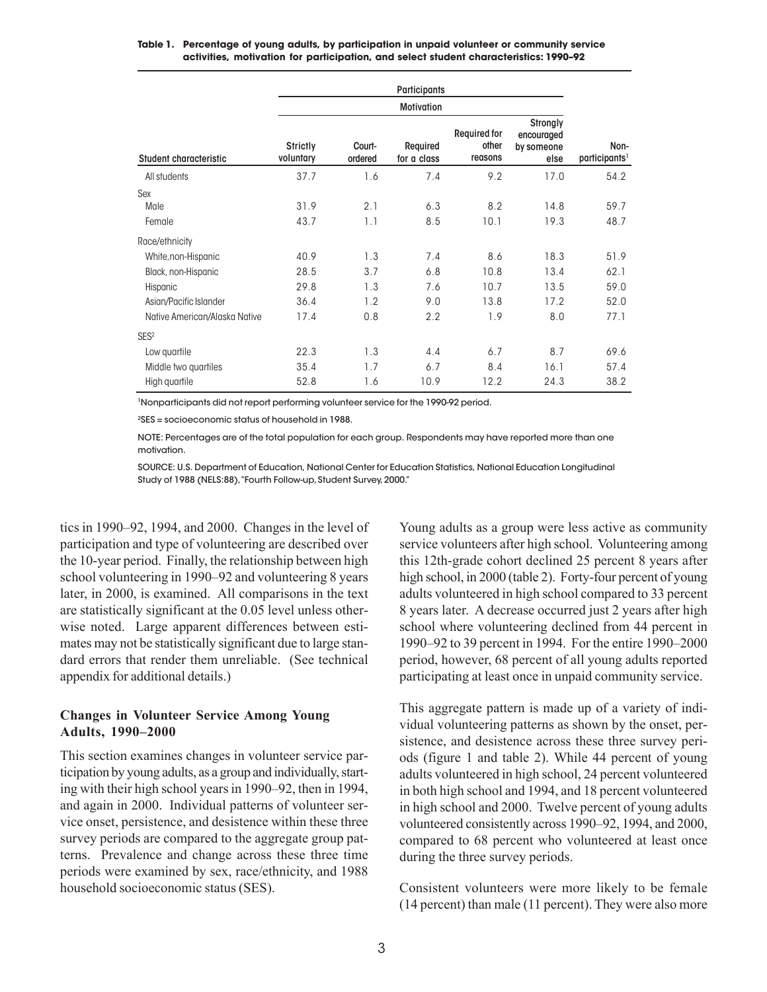#### **Table 1. Percentage of young adults, by participation in unpaid volunteer or community service activities, motivation for participation, and select student characteristics: 1990–92**

|                               |                              |                   | <b>Participants</b>     |                                         |                                              |                                   |
|-------------------------------|------------------------------|-------------------|-------------------------|-----------------------------------------|----------------------------------------------|-----------------------------------|
|                               |                              |                   |                         |                                         |                                              |                                   |
| Student characteristic        | <b>Strictly</b><br>voluntary | Court-<br>ordered | Required<br>for a class | <b>Required for</b><br>other<br>reasons | Strongly<br>encouraged<br>by someone<br>else | Non-<br>participants <sup>1</sup> |
| All students                  | 37.7                         | 1.6               | 7.4                     | 9.2                                     | 17.0                                         | 54.2                              |
| Sex<br>Male<br>Female         | 31.9<br>43.7                 | 2.1<br>1.1        | 6.3<br>8.5              | 8.2<br>10.1                             | 14.8<br>19.3                                 | 59.7<br>48.7                      |
| Race/ethnicity                |                              |                   |                         |                                         |                                              |                                   |
| White, non-Hispanic           | 40.9                         | 1.3               | 7.4                     | 8.6                                     | 18.3                                         | 51.9                              |
| Black, non-Hispanic           | 28.5                         | 3.7               | 6.8                     | 10.8                                    | 13.4                                         | 62.1                              |
| Hispanic                      | 29.8                         | 1.3               | 7.6                     | 10.7                                    | 13.5                                         | 59.0                              |
| Asian/Pacific Islander        | 36.4                         | 1.2               | 9.0                     | 13.8                                    | 17.2                                         | 52.0                              |
| Native American/Alaska Native | 17.4                         | 0.8               | 2.2                     | 1.9                                     | 8.0                                          | 77.1                              |
| SES <sup>2</sup>              |                              |                   |                         |                                         |                                              |                                   |
| Low quartile                  | 22.3                         | 1.3               | 4.4                     | 6.7                                     | 8.7                                          | 69.6                              |
| Middle two quartiles          | 35.4                         | 1.7               | 6.7                     | 8.4                                     | 16.1                                         | 57.4                              |
| High quartile                 | 52.8                         | 1.6               | 10.9                    | 12.2                                    | 24.3                                         | 38.2                              |

1Nonparticipants did not report performing volunteer service for the 1990-92 period.

2SES = socioeconomic status of household in 1988.

NOTE: Percentages are of the total population for each group. Respondents may have reported more than one motivation.

SOURCE: U.S. Department of Education, National Center for Education Statistics, National Education Longitudinal Study of 1988 (NELS:88), "Fourth Follow-up, Student Survey, 2000."

tics in 1990–92, 1994, and 2000. Changes in the level of participation and type of volunteering are described over the 10-year period. Finally, the relationship between high school volunteering in 1990–92 and volunteering 8 years later, in 2000, is examined. All comparisons in the text are statistically significant at the 0.05 level unless otherwise noted. Large apparent differences between estimates may not be statistically significant due to large standard errors that render them unreliable. (See technical appendix for additional details.)

# **Changes in Volunteer Service Among Young Adults, 19902000**

This section examines changes in volunteer service participation by young adults, as a group and individually, starting with their high school years in 1990–92, then in 1994, and again in 2000. Individual patterns of volunteer service onset, persistence, and desistence within these three survey periods are compared to the aggregate group patterns. Prevalence and change across these three time periods were examined by sex, race/ethnicity, and 1988 household socioeconomic status (SES).

Young adults as a group were less active as community service volunteers after high school. Volunteering among this 12th-grade cohort declined 25 percent 8 years after high school, in 2000 (table 2). Forty-four percent of young adults volunteered in high school compared to 33 percent 8 years later. A decrease occurred just 2 years after high school where volunteering declined from 44 percent in 1990–92 to 39 percent in 1994. For the entire 1990–2000 period, however, 68 percent of all young adults reported participating at least once in unpaid community service.

This aggregate pattern is made up of a variety of individual volunteering patterns as shown by the onset, persistence, and desistence across these three survey periods (figure 1 and table 2). While 44 percent of young adults volunteered in high school, 24 percent volunteered in both high school and 1994, and 18 percent volunteered in high school and 2000. Twelve percent of young adults volunteered consistently across 1990–92, 1994, and 2000, compared to 68 percent who volunteered at least once during the three survey periods.

Consistent volunteers were more likely to be female (14 percent) than male (11 percent). They were also more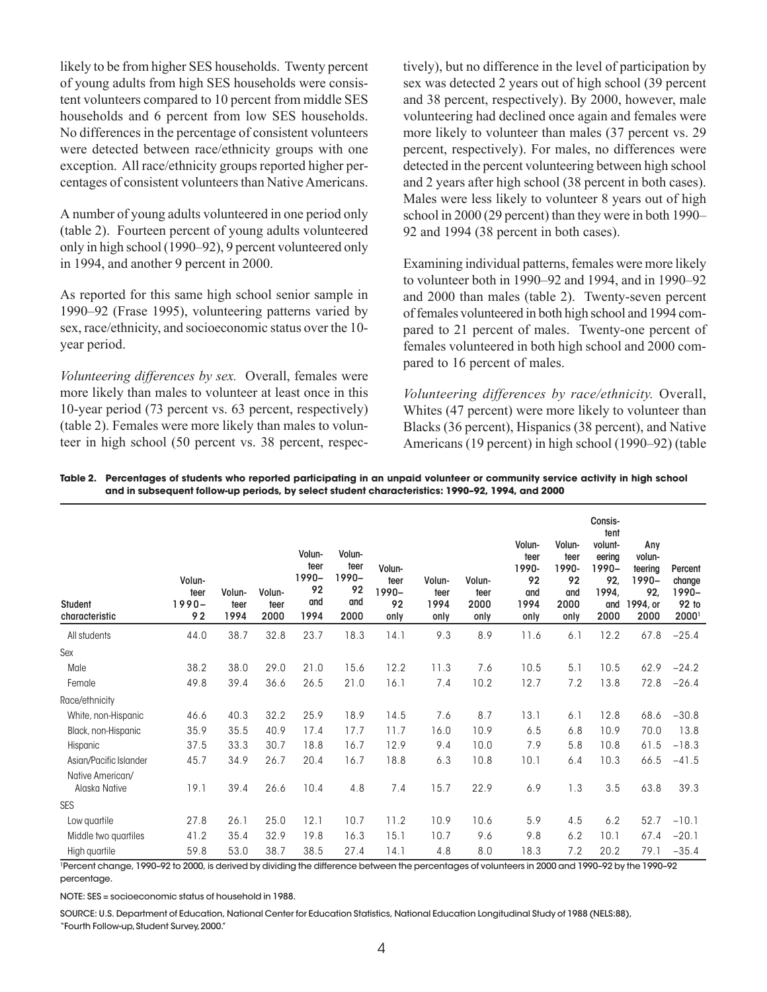likely to be from higher SES households. Twenty percent of young adults from high SES households were consistent volunteers compared to 10 percent from middle SES households and 6 percent from low SES households. No differences in the percentage of consistent volunteers were detected between race/ethnicity groups with one exception. All race/ethnicity groups reported higher percentages of consistent volunteers than Native Americans.

A number of young adults volunteered in one period only (table 2). Fourteen percent of young adults volunteered only in high school (1990–92), 9 percent volunteered only in 1994, and another 9 percent in 2000.

As reported for this same high school senior sample in 1990–92 (Frase 1995), volunteering patterns varied by sex, race/ethnicity, and socioeconomic status over the 10 year period.

*Volunteering differences by sex.* Overall, females were more likely than males to volunteer at least once in this 10-year period (73 percent vs. 63 percent, respectively) (table 2). Females were more likely than males to volunteer in high school (50 percent vs. 38 percent, respectively), but no difference in the level of participation by sex was detected 2 years out of high school (39 percent and 38 percent, respectively). By 2000, however, male volunteering had declined once again and females were more likely to volunteer than males (37 percent vs. 29 percent, respectively). For males, no differences were detected in the percent volunteering between high school and 2 years after high school (38 percent in both cases). Males were less likely to volunteer 8 years out of high school in 2000 (29 percent) than they were in both 1990 92 and 1994 (38 percent in both cases).

Examining individual patterns, females were more likely to volunteer both in  $1990-92$  and  $1994$ , and in  $1990-92$ and 2000 than males (table 2). Twenty-seven percent of females volunteered in both high school and 1994 compared to 21 percent of males. Twenty-one percent of females volunteered in both high school and 2000 compared to 16 percent of males.

*Volunteering differences by race/ethnicity.* Overall, Whites (47 percent) were more likely to volunteer than Blacks (36 percent), Hispanics (38 percent), and Native Americans (19 percent) in high school (1990–92) (table

| Table 2.   Percentages of students who reported participating in an unpaid volunteer or community service activity in high school |
|-----------------------------------------------------------------------------------------------------------------------------------|
| and in subsequent follow-up periods, by select student characteristics: 1990-92, 1994, and 2000                                   |

| <b>Student</b><br>characteristic | Volun-<br>teer<br>$1990 -$<br>92 | Volun-<br>teer<br>1994 | Volun-<br>teer<br>2000 | Volun-<br>teer<br>1990-<br>92<br>and<br>1994 | Volun-<br>teer<br>1990-<br>92<br>and<br>2000 | Volun-<br>teer<br>1990-<br>92<br>only | Volun-<br>teer<br>1994<br>only | Volun-<br>teer<br>2000<br>only | Volun-<br>teer<br>1990-<br>92<br>and<br>1994<br>only | Volun-<br>teer<br>1990-<br>92<br>and<br>2000<br>only | Consis-<br>tent<br>volunt-<br>eering<br>1990-<br>92.<br>1994,<br>and<br>2000 | Any<br>volun-<br>teering<br>1990-<br>92,<br>1994, or<br>2000 | Percent<br>change<br>1990-<br>92 to<br>2000 |
|----------------------------------|----------------------------------|------------------------|------------------------|----------------------------------------------|----------------------------------------------|---------------------------------------|--------------------------------|--------------------------------|------------------------------------------------------|------------------------------------------------------|------------------------------------------------------------------------------|--------------------------------------------------------------|---------------------------------------------|
| All students                     | 44.0                             | 38.7                   | 32.8                   | 23.7                                         | 18.3                                         | 14.1                                  | 9.3                            | 8.9                            | 11.6                                                 | 6.1                                                  | 12.2                                                                         | 67.8                                                         | $-25.4$                                     |
| Sex                              |                                  |                        |                        |                                              |                                              |                                       |                                |                                |                                                      |                                                      |                                                                              |                                                              |                                             |
| Male                             | 38.2                             | 38.0                   | 29.0                   | 21.0                                         | 15.6                                         | 12.2                                  | 11.3                           | 7.6                            | 10.5                                                 | 5.1                                                  | 10.5                                                                         | 62.9                                                         | $-24.2$                                     |
| Female                           | 49.8                             | 39.4                   | 36.6                   | 26.5                                         | 21.0                                         | 16.1                                  | 7.4                            | 10.2                           | 12.7                                                 | 7.2                                                  | 13.8                                                                         | 72.8                                                         | $-26.4$                                     |
| Race/ethnicity                   |                                  |                        |                        |                                              |                                              |                                       |                                |                                |                                                      |                                                      |                                                                              |                                                              |                                             |
| White, non-Hispanic              | 46.6                             | 40.3                   | 32.2                   | 25.9                                         | 18.9                                         | 14.5                                  | 7.6                            | 8.7                            | 13.1                                                 | 6.1                                                  | 12.8                                                                         | 68.6                                                         | $-30.8$                                     |
| Black, non-Hispanic              | 35.9                             | 35.5                   | 40.9                   | 17.4                                         | 17.7                                         | 11.7                                  | 16.0                           | 10.9                           | 6.5                                                  | 6.8                                                  | 10.9                                                                         | 70.0                                                         | 13.8                                        |
| Hispanic                         | 37.5                             | 33.3                   | 30.7                   | 18.8                                         | 16.7                                         | 12.9                                  | 9.4                            | 10.0                           | 7.9                                                  | 5.8                                                  | 10.8                                                                         | 61.5                                                         | $-18.3$                                     |
| Asian/Pacific Islander           | 45.7                             | 34.9                   | 26.7                   | 20.4                                         | 16.7                                         | 18.8                                  | 6.3                            | 10.8                           | 10.1                                                 | 6.4                                                  | 10.3                                                                         | 66.5                                                         | $-41.5$                                     |
| Native American/                 |                                  |                        |                        |                                              |                                              |                                       |                                |                                |                                                      |                                                      |                                                                              |                                                              |                                             |
| Alaska Native                    | 19.1                             | 39.4                   | 26.6                   | 10.4                                         | 4.8                                          | 7.4                                   | 15.7                           | 22.9                           | 6.9                                                  | 1.3                                                  | 3.5                                                                          | 63.8                                                         | 39.3                                        |
| <b>SES</b>                       |                                  |                        |                        |                                              |                                              |                                       |                                |                                |                                                      |                                                      |                                                                              |                                                              |                                             |
| Low quartile                     | 27.8                             | 26.1                   | 25.0                   | 12.1                                         | 10.7                                         | 11.2                                  | 10.9                           | 10.6                           | 5.9                                                  | 4.5                                                  | 6.2                                                                          | 52.7                                                         | $-10.1$                                     |
| Middle two quartiles             | 41.2                             | 35.4                   | 32.9                   | 19.8                                         | 16.3                                         | 15.1                                  | 10.7                           | 9.6                            | 9.8                                                  | 6.2                                                  | 10.1                                                                         | 67.4                                                         | $-20.1$                                     |
| High quartile                    | 59.8                             | 53.0                   | 38.7                   | 38.5                                         | 27.4                                         | 14.1                                  | 4.8                            | 8.0                            | 18.3                                                 | 7.2                                                  | 20.2                                                                         | 79.1                                                         | $-35.4$                                     |

<sup>1</sup>Percent change, 1990–92 to 2000, is derived by dividing the difference between the percentages of volunteers in 2000 and 1990–92 by the 1990–92 percentage.

NOTE: SES = socioeconomic status of household in 1988.

SOURCE: U.S. Department of Education, National Center for Education Statistics, National Education Longitudinal Study of 1988 ( NELS:88), "Fourth Follow-up, Student Survey, 2000."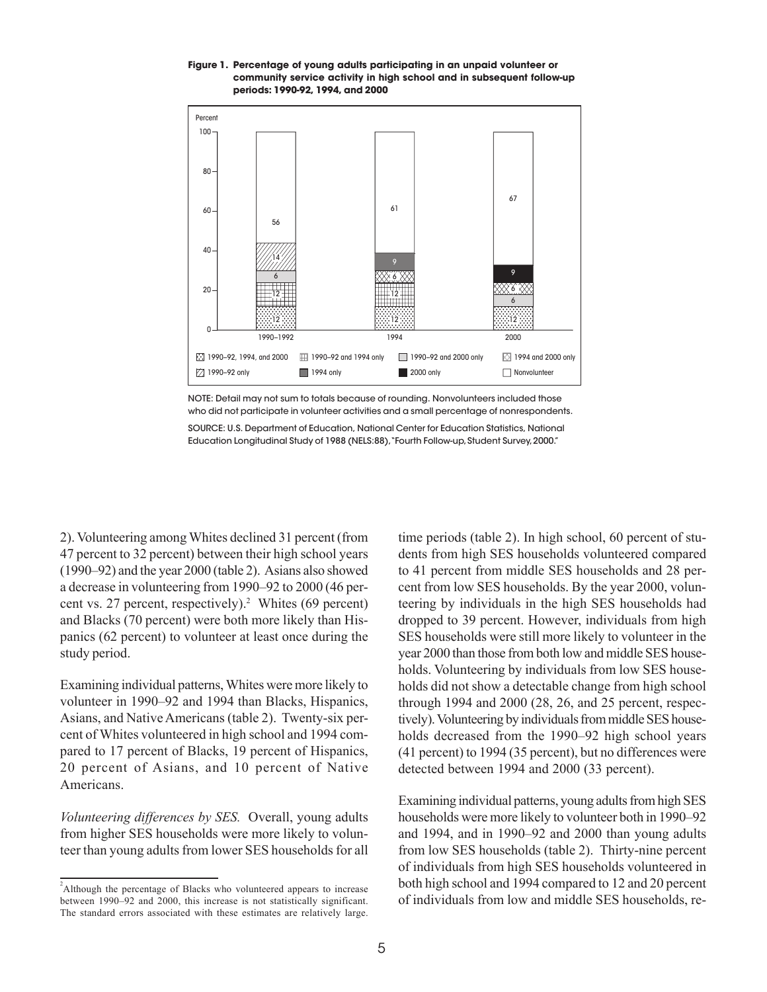#### **Figure 1. Percentage of young adults participating in an unpaid volunteer or community service activity in high school and in subsequent follow-up periods: 1990-92, 1994, and 2000**



NOTE: Detail may not sum to totals because of rounding. Nonvolunteers included those who did not participate in volunteer activities and a small percentage of nonrespondents.

SOURCE: U.S. Department of Education, National Center for Education Statistics, National Education Longitudinal Study of 1988 (NELS:88),"Fourth Follow-up, Student Survey, 2000."

2). Volunteering among Whites declined 31 percent (from 47 percent to 32 percent) between their high school years  $(1990-92)$  and the year 2000 (table 2). Asians also showed a decrease in volunteering from 1990–92 to 2000 (46 percent vs. 27 percent, respectively).<sup>2</sup> Whites (69 percent) and Blacks (70 percent) were both more likely than Hispanics (62 percent) to volunteer at least once during the study period.

Examining individual patterns, Whites were more likely to volunteer in 1990–92 and 1994 than Blacks, Hispanics, Asians, and Native Americans (table 2). Twenty-six percent of Whites volunteered in high school and 1994 compared to 17 percent of Blacks, 19 percent of Hispanics, 20 percent of Asians, and 10 percent of Native Americans.

*Volunteering differences by SES.* Overall, young adults from higher SES households were more likely to volunteer than young adults from lower SES households for all time periods (table 2). In high school, 60 percent of students from high SES households volunteered compared to 41 percent from middle SES households and 28 percent from low SES households. By the year 2000, volunteering by individuals in the high SES households had dropped to 39 percent. However, individuals from high SES households were still more likely to volunteer in the year 2000 than those from both low and middle SES households. Volunteering by individuals from low SES households did not show a detectable change from high school through 1994 and 2000 (28, 26, and 25 percent, respectively). Volunteering by individuals from middle SES households decreased from the 1990–92 high school years (41 percent) to 1994 (35 percent), but no differences were detected between 1994 and 2000 (33 percent).

Examining individual patterns, young adults from high SES households were more likely to volunteer both in 1990–92 and 1994, and in 1990–92 and 2000 than young adults from low SES households (table 2). Thirty-nine percent of individuals from high SES households volunteered in both high school and 1994 compared to 12 and 20 percent of individuals from low and middle SES households, re-

<sup>&</sup>lt;sup>2</sup>Although the percentage of Blacks who volunteered appears to increase between 1990–92 and 2000, this increase is not statistically significant. The standard errors associated with these estimates are relatively large.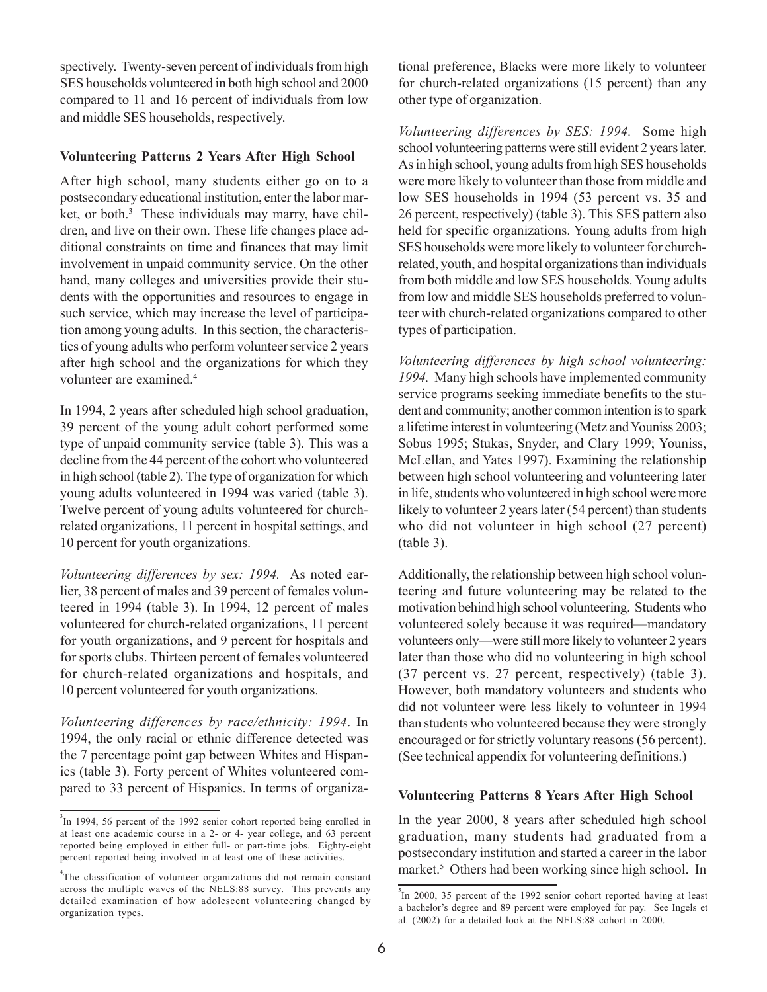spectively. Twenty-seven percent of individuals from high SES households volunteered in both high school and 2000 compared to 11 and 16 percent of individuals from low and middle SES households, respectively.

## **Volunteering Patterns 2 Years After High School**

ket, or both.<sup>3</sup> These individuals may marry, have chil-After high school, many students either go on to a postsecondary educational institution, enter the labor mardren, and live on their own. These life changes place additional constraints on time and finances that may limit involvement in unpaid community service. On the other hand, many colleges and universities provide their students with the opportunities and resources to engage in such service, which may increase the level of participation among young adults. In this section, the characteristics of young adults who perform volunteer service 2 years after high school and the organizations for which they volunteer are examined.<sup>4</sup>

In 1994, 2 years after scheduled high school graduation, 39 percent of the young adult cohort performed some type of unpaid community service (table 3). This was a decline from the 44 percent of the cohort who volunteered in high school (table 2). The type of organization for which young adults volunteered in 1994 was varied (table 3). Twelve percent of young adults volunteered for churchrelated organizations, 11 percent in hospital settings, and 10 percent for youth organizations.

 *Volunteering differences by sex: 1994.* As noted earlier, 38 percent of males and 39 percent of females volunteered in 1994 (table 3). In 1994, 12 percent of males volunteered for church-related organizations, 11 percent for youth organizations, and 9 percent for hospitals and for sports clubs. Thirteen percent of females volunteered for church-related organizations and hospitals, and 10 percent volunteered for youth organizations.

*Volunteering differences by race/ethnicity: 1994*. In 1994, the only racial or ethnic difference detected was the 7 percentage point gap between Whites and Hispanics (table 3). Forty percent of Whites volunteered compared to 33 percent of Hispanics. In terms of organizational preference, Blacks were more likely to volunteer for church-related organizations (15 percent) than any other type of organization.

*Volunteering differences by SES: 1994.* Some high school volunteering patterns were still evident 2 years later. As in high school, young adults from high SES households were more likely to volunteer than those from middle and low SES households in 1994 (53 percent vs. 35 and 26 percent, respectively) (table 3). This SES pattern also held for specific organizations. Young adults from high SES households were more likely to volunteer for churchrelated, youth, and hospital organizations than individuals from both middle and low SES households. Young adults from low and middle SES households preferred to volunteer with church-related organizations compared to other types of participation.

*Volunteering differences by high school volunteering: 1994.* Many high schools have implemented community service programs seeking immediate benefits to the student and community; another common intention is to spark a lifetime interest in volunteering (Metz and Youniss 2003; Sobus 1995; Stukas, Snyder, and Clary 1999; Youniss, McLellan, and Yates 1997). Examining the relationship between high school volunteering and volunteering later in life, students who volunteered in high school were more likely to volunteer 2 years later (54 percent) than students who did not volunteer in high school (27 percent) (table 3).

Additionally, the relationship between high school volunteering and future volunteering may be related to the motivation behind high school volunteering. Students who volunteered solely because it was required—mandatory volunteers only—were still more likely to volunteer 2 years later than those who did no volunteering in high school (37 percent vs. 27 percent, respectively) (table 3). However, both mandatory volunteers and students who did not volunteer were less likely to volunteer in 1994 than students who volunteered because they were strongly encouraged or for strictly voluntary reasons (56 percent). (See technical appendix for volunteering definitions.)

# **Volunteering Patterns 8 Years After High School**

In the year 2000, 8 years after scheduled high school graduation, many students had graduated from a postsecondary institution and started a career in the labor market.<sup>5</sup> Others had been working since high school. In

<sup>&</sup>lt;sup>3</sup>In 1994, 56 percent of the 1992 senior cohort reported being enrolled in at least one academic course in a 2- or 4- year college, and 63 percent reported being employed in either full- or part-time jobs. Eighty-eight percent reported being involved in at least one of these activities.

<sup>&</sup>lt;sup>4</sup>The classification of volunteer organizations did not remain constant across the multiple waves of the NELS:88 survey. This prevents any detailed examination of how adolescent volunteering changed by organization types.

In 2000, 35 percent of the 1992 senior cohort reported having at least a bachelor's degree and 89 percent were employed for pay. See Ingels et al. (2002) for a detailed look at the NELS:88 cohort in 2000.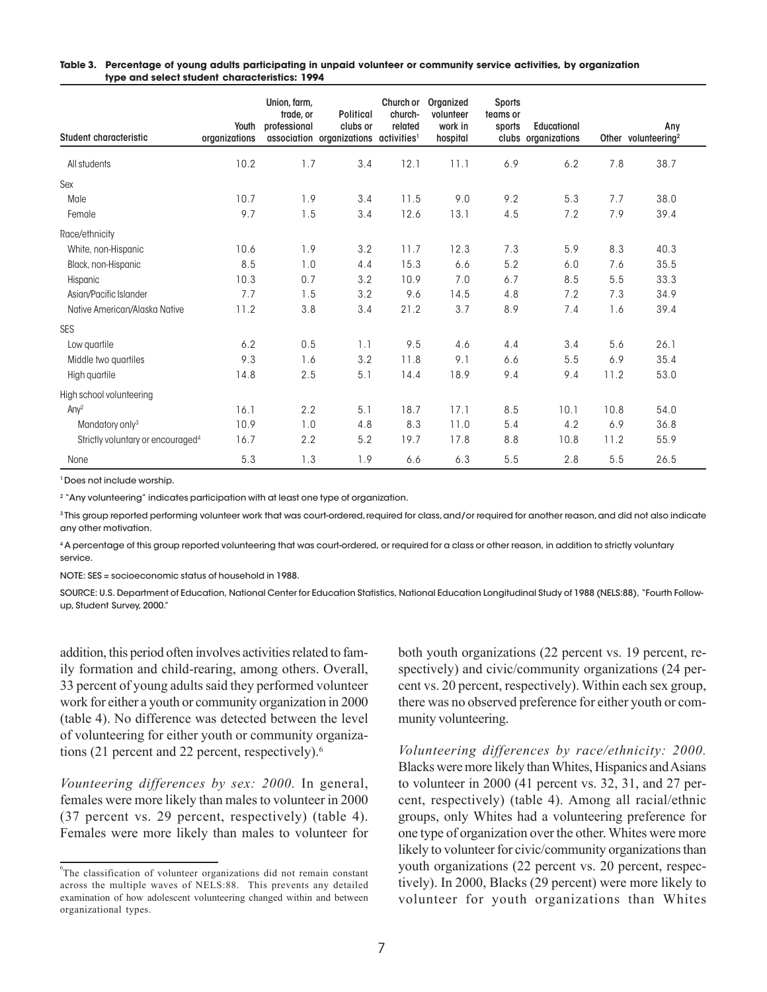| Table 3.   Percentage of young adults participating in unpaid volunteer or community service activities, by organization |
|--------------------------------------------------------------------------------------------------------------------------|
| type and select student characteristics: 1994                                                                            |

| Student characteristic                        | Youth<br>organizations | Union, farm,<br>trade, or<br>professional | <b>Political</b><br>clubs or<br>association organizations activities <sup>1</sup> | Church or<br>church-<br>related | Organized<br>volunteer<br>work in<br>hospital | <b>Sports</b><br>teams or<br>sports | <b>Educational</b><br>clubs organizations |      | Any<br>Other volunteering <sup>2</sup> |
|-----------------------------------------------|------------------------|-------------------------------------------|-----------------------------------------------------------------------------------|---------------------------------|-----------------------------------------------|-------------------------------------|-------------------------------------------|------|----------------------------------------|
| All students                                  | 10.2                   | 1.7                                       | 3.4                                                                               | 12.1                            | 11.1                                          | 6.9                                 | 6.2                                       | 7.8  | 38.7                                   |
| Sex                                           |                        |                                           |                                                                                   |                                 |                                               |                                     |                                           |      |                                        |
| Male                                          | 10.7                   | 1.9                                       | 3.4                                                                               | 11.5                            | 9.0                                           | 9.2                                 | 5.3                                       | 7.7  | 38.0                                   |
| Female                                        | 9.7                    | 1.5                                       | 3.4                                                                               | 12.6                            | 13.1                                          | 4.5                                 | 7.2                                       | 7.9  | 39.4                                   |
| Race/ethnicity                                |                        |                                           |                                                                                   |                                 |                                               |                                     |                                           |      |                                        |
| White, non-Hispanic                           | 10.6                   | 1.9                                       | 3.2                                                                               | 11.7                            | 12.3                                          | 7.3                                 | 5.9                                       | 8.3  | 40.3                                   |
| Black, non-Hispanic                           | 8.5                    | 1.0                                       | 4.4                                                                               | 15.3                            | 6.6                                           | 5.2                                 | 6.0                                       | 7.6  | 35.5                                   |
| Hispanic                                      | 10.3                   | 0.7                                       | 3.2                                                                               | 10.9                            | 7.0                                           | 6.7                                 | 8.5                                       | 5.5  | 33.3                                   |
| Asian/Pacific Islander                        | 7.7                    | 1.5                                       | 3.2                                                                               | 9.6                             | 14.5                                          | 4.8                                 | 7.2                                       | 7.3  | 34.9                                   |
| Native American/Alaska Native                 | 11.2                   | 3.8                                       | 3.4                                                                               | 21.2                            | 3.7                                           | 8.9                                 | 7.4                                       | 1.6  | 39.4                                   |
| <b>SES</b>                                    |                        |                                           |                                                                                   |                                 |                                               |                                     |                                           |      |                                        |
| Low quartile                                  | 6.2                    | 0.5                                       | 1.1                                                                               | 9.5                             | 4.6                                           | 4.4                                 | 3.4                                       | 5.6  | 26.1                                   |
| Middle two quartiles                          | 9.3                    | 1.6                                       | 3.2                                                                               | 11.8                            | 9.1                                           | 6.6                                 | 5.5                                       | 6.9  | 35.4                                   |
| High quartile                                 | 14.8                   | 2.5                                       | 5.1                                                                               | 14.4                            | 18.9                                          | 9.4                                 | 9.4                                       | 11.2 | 53.0                                   |
| High school volunteering                      |                        |                                           |                                                                                   |                                 |                                               |                                     |                                           |      |                                        |
| Any <sup>2</sup>                              | 16.1                   | 2.2                                       | 5.1                                                                               | 18.7                            | 17.1                                          | 8.5                                 | 10.1                                      | 10.8 | 54.0                                   |
| Mandatory only <sup>3</sup>                   | 10.9                   | 1.0                                       | 4.8                                                                               | 8.3                             | 11.0                                          | 5.4                                 | 4.2                                       | 6.9  | 36.8                                   |
| Strictly voluntary or encouraged <sup>4</sup> | 16.7                   | 2.2                                       | 5.2                                                                               | 19.7                            | 17.8                                          | 8.8                                 | 10.8                                      | 11.2 | 55.9                                   |
| None                                          | 5.3                    | 1.3                                       | 1.9                                                                               | 6.6                             | 6.3                                           | 5.5                                 | 2.8                                       | 5.5  | 26.5                                   |

<sup>1</sup> Does not include worship.

<sup>2</sup> "Any volunteering" indicates participation with at least one type of organization.

<sup>3</sup>This group reported performing volunteer work that was court-ordered, required for class, and/or required for another reason, and did not also indicate any other motivation.

4A percentage of this group reported volunteering that was court-ordered, or required for a class or other reason, in addition to strictly voluntary service.

NOTE: SES = socioeconomic status of household in 1988.

SOURCE: U.S. Department of Education, National Center for Education Statistics, National Education Longitudinal Study of 1988 (NELS:88), "Fourth Followup, Student Survey, 2000."

addition, this period often involves activities related to family formation and child-rearing, among others. Overall, 33 percent of young adults said they performed volunteer work for either a youth or community organization in 2000 (table 4). No difference was detected between the level of volunteering for either youth or community organizations (21 percent and 22 percent, respectively).<sup>6</sup>

*Vounteering differences by sex: 2000.* In general, females were more likely than males to volunteer in 2000 (37 percent vs. 29 percent, respectively) (table 4). Females were more likely than males to volunteer for both youth organizations (22 percent vs. 19 percent, respectively) and civic/community organizations (24 percent vs. 20 percent, respectively). Within each sex group, there was no observed preference for either youth or community volunteering.

*Volunteering differences by race/ethnicity: 2000.*  Blacks were more likely than Whites, Hispanics and Asians to volunteer in 2000 (41 percent vs. 32, 31, and 27 percent, respectively) (table 4). Among all racial/ethnic groups, only Whites had a volunteering preference for one type of organization over the other. Whites were more likely to volunteer for civic/community organizations than youth organizations (22 percent vs. 20 percent, respectively). In 2000, Blacks (29 percent) were more likely to volunteer for youth organizations than Whites

<sup>6</sup> The classification of volunteer organizations did not remain constant across the multiple waves of NELS:88. This prevents any detailed examination of how adolescent volunteering changed within and between organizational types.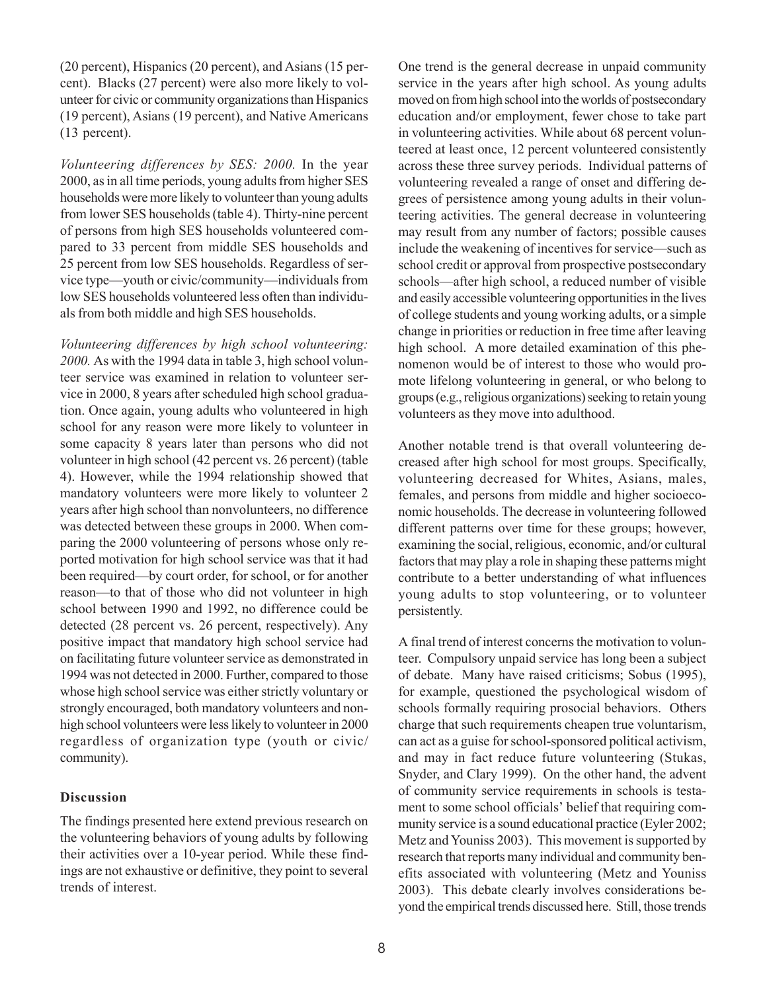(20 percent), Hispanics (20 percent), and Asians (15 percent). Blacks (27 percent) were also more likely to volunteer for civic or community organizations than Hispanics (19 percent), Asians (19 percent), and Native Americans (13 percent).

*Volunteering differences by SES: 2000.* In the year 2000, as in all time periods, young adults from higher SES households were more likely to volunteer than young adults from lower SES households (table 4). Thirty-nine percent of persons from high SES households volunteered compared to 33 percent from middle SES households and 25 percent from low SES households. Regardless of service type—youth or civic/community—individuals from low SES households volunteered less often than individuals from both middle and high SES households.

*Volunteering differences by high school volunteering: 2000.* As with the 1994 data in table 3, high school volunteer service was examined in relation to volunteer service in 2000, 8 years after scheduled high school graduation. Once again, young adults who volunteered in high school for any reason were more likely to volunteer in some capacity 8 years later than persons who did not volunteer in high school (42 percent vs. 26 percent) (table 4). However, while the 1994 relationship showed that mandatory volunteers were more likely to volunteer 2 years after high school than nonvolunteers, no difference was detected between these groups in 2000. When comparing the 2000 volunteering of persons whose only reported motivation for high school service was that it had been required—by court order, for school, or for another reason-to that of those who did not volunteer in high school between 1990 and 1992, no difference could be detected (28 percent vs. 26 percent, respectively). Any positive impact that mandatory high school service had on facilitating future volunteer service as demonstrated in 1994 was not detected in 2000. Further, compared to those whose high school service was either strictly voluntary or strongly encouraged, both mandatory volunteers and nonhigh school volunteers were less likely to volunteer in 2000 regardless of organization type (youth or civic/ community).

### **Discussion**

The findings presented here extend previous research on the volunteering behaviors of young adults by following their activities over a 10-year period. While these findings are not exhaustive or definitive, they point to several trends of interest.

One trend is the general decrease in unpaid community service in the years after high school. As young adults moved on from high school into the worlds of postsecondary education and/or employment, fewer chose to take part in volunteering activities. While about 68 percent volunteered at least once, 12 percent volunteered consistently across these three survey periods. Individual patterns of volunteering revealed a range of onset and differing degrees of persistence among young adults in their volunteering activities. The general decrease in volunteering may result from any number of factors; possible causes include the weakening of incentives for service—such as school credit or approval from prospective postsecondary schools—after high school, a reduced number of visible and easily accessible volunteering opportunities in the lives of college students and young working adults, or a simple change in priorities or reduction in free time after leaving high school. A more detailed examination of this phenomenon would be of interest to those who would promote lifelong volunteering in general, or who belong to groups (e.g., religious organizations) seeking to retain young volunteers as they move into adulthood.

Another notable trend is that overall volunteering decreased after high school for most groups. Specifically, volunteering decreased for Whites, Asians, males, females, and persons from middle and higher socioeconomic households. The decrease in volunteering followed different patterns over time for these groups; however, examining the social, religious, economic, and/or cultural factors that may play a role in shaping these patterns might contribute to a better understanding of what influences young adults to stop volunteering, or to volunteer persistently.

A final trend of interest concerns the motivation to volunteer. Compulsory unpaid service has long been a subject of debate. Many have raised criticisms; Sobus (1995), for example, questioned the psychological wisdom of schools formally requiring prosocial behaviors. Others charge that such requirements cheapen true voluntarism, can act as a guise for school-sponsored political activism, and may in fact reduce future volunteering (Stukas, Snyder, and Clary 1999). On the other hand, the advent of community service requirements in schools is testament to some school officials' belief that requiring community service is a sound educational practice (Eyler 2002; Metz and Youniss 2003). This movement is supported by research that reports many individual and community benefits associated with volunteering (Metz and Youniss 2003). This debate clearly involves considerations beyond the empirical trends discussed here. Still, those trends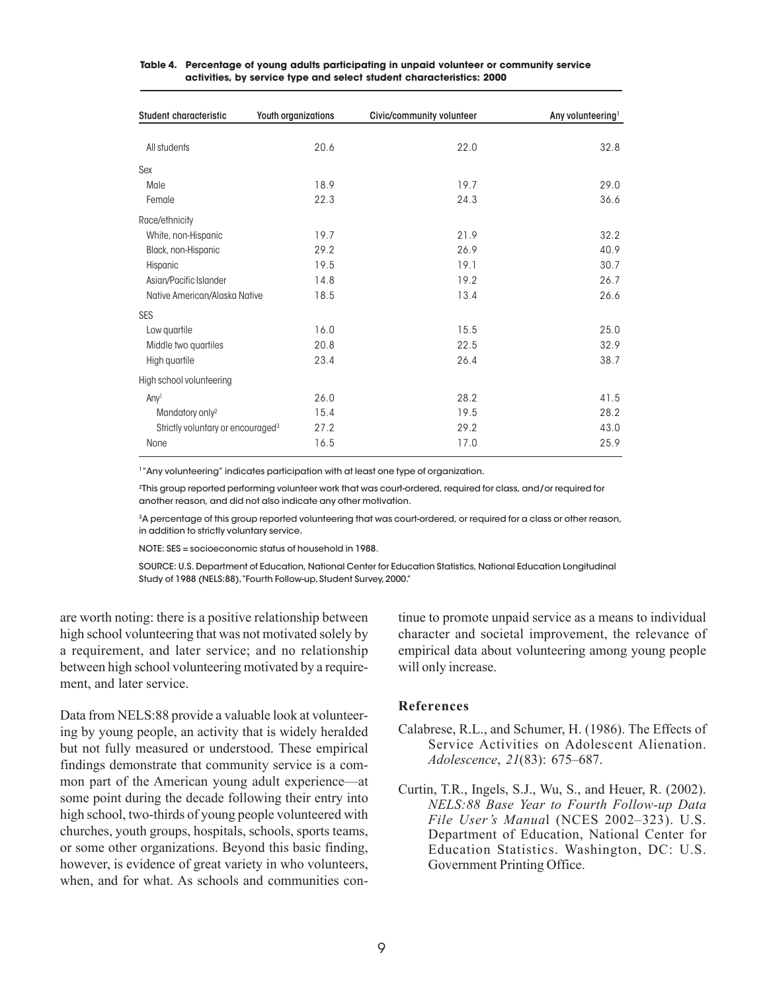| Student characteristic                        | <b>Youth organizations</b> | Civic/community volunteer | Any volunteering <sup>1</sup> |
|-----------------------------------------------|----------------------------|---------------------------|-------------------------------|
| All students                                  | 20.6                       | 22.0                      | 32.8                          |
| Sex                                           |                            |                           |                               |
| Male                                          | 18.9                       | 19.7                      | 29.0                          |
| Female                                        | 22.3                       | 24.3                      | 36.6                          |
| Race/ethnicity                                |                            |                           |                               |
| White, non-Hispanic                           | 19.7                       | 21.9                      | 32.2                          |
| Black, non-Hispanic                           | 29.2                       | 26.9                      | 40.9                          |
| Hispanic                                      | 19.5                       | 19.1                      | 30.7                          |
| Asian/Pacific Islander                        | 14.8                       | 19.2                      | 26.7                          |
| Native American/Alaska Native                 | 18.5                       | 13.4                      | 26.6                          |
| <b>SES</b>                                    |                            |                           |                               |
| Low quartile                                  | 16.0                       | 15.5                      | 25.0                          |
| Middle two quartiles                          | 20.8                       | 22.5                      | 32.9                          |
| High quartile                                 | 23.4                       | 26.4                      | 38.7                          |
| High school volunteering                      |                            |                           |                               |
| Any <sup>1</sup>                              | 26.0                       | 28.2                      | 41.5                          |
| Mandatory only <sup>2</sup>                   | 15.4                       | 19.5                      | 28.2                          |
| Strictly voluntary or encouraged <sup>3</sup> | 27.2                       | 29.2                      | 43.0                          |
| None                                          | 16.5                       | 17.0                      | 25.9                          |

#### **Table 4. Percentage of young adults participating in unpaid volunteer or community service activities, by service type and select student characteristics: 2000**

<sup>1</sup>"Any volunteering" indicates participation with at least one type of organization.

2This group reported performing volunteer work that was court-ordered, required for class, and/or required for another reason, and did not also indicate any other motivation.

3 A percentage of this group reported volunteering that was court-ordered, or required for a class or other reason, in addition to strictly voluntary service.

NOTE: SES = socioeconomic status of household in 1988.

SOURCE: U.S. Department of Education, National Center for Education Statistics, National Education Longitudinal Study of 1988 (NELS:88),"Fourth Follow-up, Student Survey, 2000."

are worth noting: there is a positive relationship between high school volunteering that was not motivated solely by a requirement, and later service; and no relationship between high school volunteering motivated by a requirement, and later service.

Data from NELS:88 provide a valuable look at volunteering by young people, an activity that is widely heralded but not fully measured or understood. These empirical findings demonstrate that community service is a common part of the American young adult experience—at some point during the decade following their entry into high school, two-thirds of young people volunteered with churches, youth groups, hospitals, schools, sports teams, or some other organizations. Beyond this basic finding, however, is evidence of great variety in who volunteers, when, and for what. As schools and communities continue to promote unpaid service as a means to individual character and societal improvement, the relevance of empirical data about volunteering among young people will only increase.

### **References**

- Calabrese, R.L., and Schumer, H. (1986). The Effects of Service Activities on Adolescent Alienation. *Adolescence*, 21(83): 675-687.
- Curtin, T.R., Ingels, S.J., Wu, S., and Heuer, R. (2002). *NELS:88 Base Year to Fourth Follow-up Data File User's Manual* (NCES 2002–323). U.S. Department of Education, National Center for Education Statistics. Washington, DC: U.S. Government Printing Office.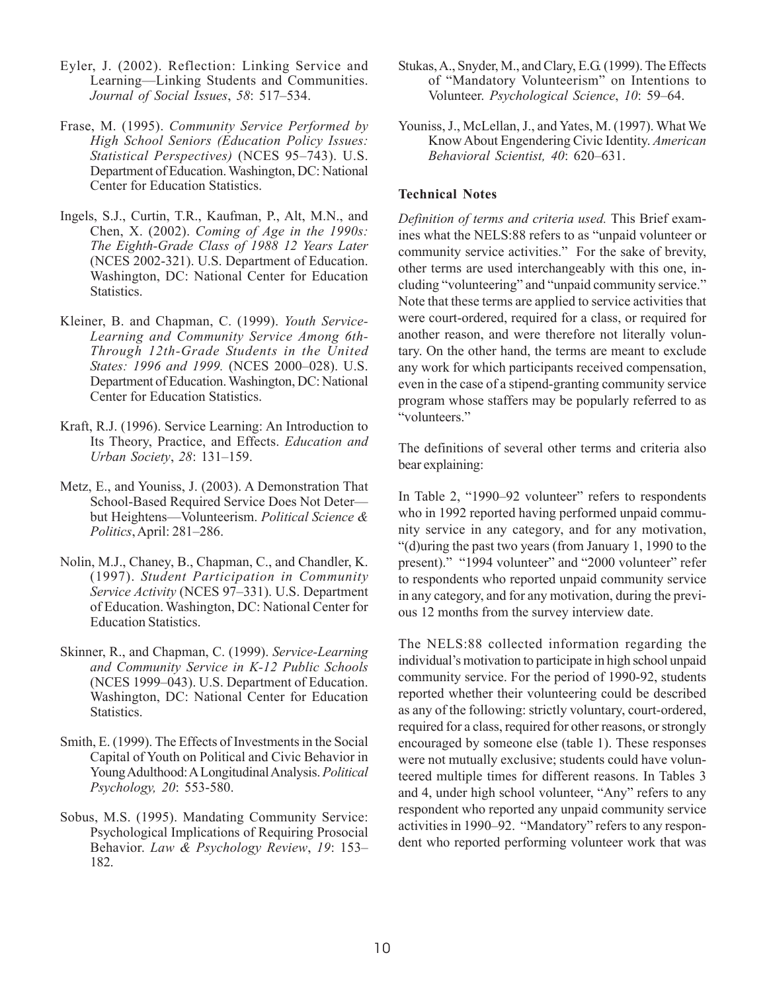- Eyler, J. (2002). Reflection: Linking Service and Learning-Linking Students and Communities. *Journal of Social Issues,* 58: 517–534.
- Frase, M. (1995). *Community Service Performed by High School Seniors (Education Policy Issues: Statistical Perspectives*) (NCES 95-743). U.S. Department of Education. Washington, DC: National Center for Education Statistics.
- Ingels, S.J., Curtin, T.R., Kaufman, P., Alt, M.N., and Chen, X. (2002). *Coming of Age in the 1990s: The Eighth-Grade Class of 1988 12 Years Later*  (NCES 2002-321). U.S. Department of Education. Washington, DC: National Center for Education Statistics.
- Kleiner, B. and Chapman, C. (1999). *Youth Service-Learning and Community Service Among 6th-Through 12th-Grade Students in the United States: 1996 and 1999.* (NCES 2000-028). U.S. Department of Education. Washington, DC: National Center for Education Statistics.
- Kraft, R.J. (1996). Service Learning: An Introduction to Its Theory, Practice, and Effects. *Education and Urban Society*, 28: 131-159.
- Metz, E., and Youniss, J. (2003). A Demonstration That School-Based Required Service Does Not Deter but Heightens-Volunteerism. *Political Science & Politics*, April: 281–286.
- Nolin, M.J., Chaney, B., Chapman, C., and Chandler, K. (1997). *Student Participation in Community Service Activity* (NCES 97-331). U.S. Department of Education. Washington, DC: National Center for Education Statistics.
- Skinner, R., and Chapman, C. (1999). *Service-Learning and Community Service in K-12 Public Schools*  (NCES 1999–043). U.S. Department of Education. Washington, DC: National Center for Education Statistics.
- Smith, E. (1999). The Effects of Investments in the Social Capital of Youth on Political and Civic Behavior in Young Adulthood: ALongitudinal Analysis. *Political Psychology, 20*: 553-580.
- Sobus, M.S. (1995). Mandating Community Service: Psychological Implications of Requiring Prosocial Behavior. *Law & Psychology Review*, *19*: 153 182.
- Stukas, A., Snyder, M., and Clary, E.G. (1999). The Effects of "Mandatory Volunteerism" on Intentions to Volunteer. *Psychological Science*, 10: 59-64.
- Youniss, J., McLellan, J., and Yates, M. (1997). What We Know About Engendering Civic Identity. *American Behavioral Scientist, 40: 620-631.*

## **Technical Notes**

*Definition of terms and criteria used.* This Brief examines what the NELS:88 refers to as "unpaid volunteer or community service activities." For the sake of brevity, other terms are used interchangeably with this one, including "volunteering" and "unpaid community service." Note that these terms are applied to service activities that were court-ordered, required for a class, or required for another reason, and were therefore not literally voluntary. On the other hand, the terms are meant to exclude any work for which participants received compensation, even in the case of a stipend-granting community service program whose staffers may be popularly referred to as "volunteers."

The definitions of several other terms and criteria also bear explaining:

In Table 2, "1990–92 volunteer" refers to respondents who in 1992 reported having performed unpaid community service in any category, and for any motivation, (d)uring the past two years (from January 1, 1990 to the present)." "1994 volunteer" and "2000 volunteer" refer to respondents who reported unpaid community service in any category, and for any motivation, during the previous 12 months from the survey interview date.

The NELS:88 collected information regarding the individual's motivation to participate in high school unpaid community service. For the period of 1990-92, students reported whether their volunteering could be described as any of the following: strictly voluntary, court-ordered, required for a class, required for other reasons, or strongly encouraged by someone else (table 1). These responses were not mutually exclusive; students could have volunteered multiple times for different reasons. In Tables 3 and 4, under high school volunteer, "Any" refers to any respondent who reported any unpaid community service activities in 1990–92. "Mandatory" refers to any respondent who reported performing volunteer work that was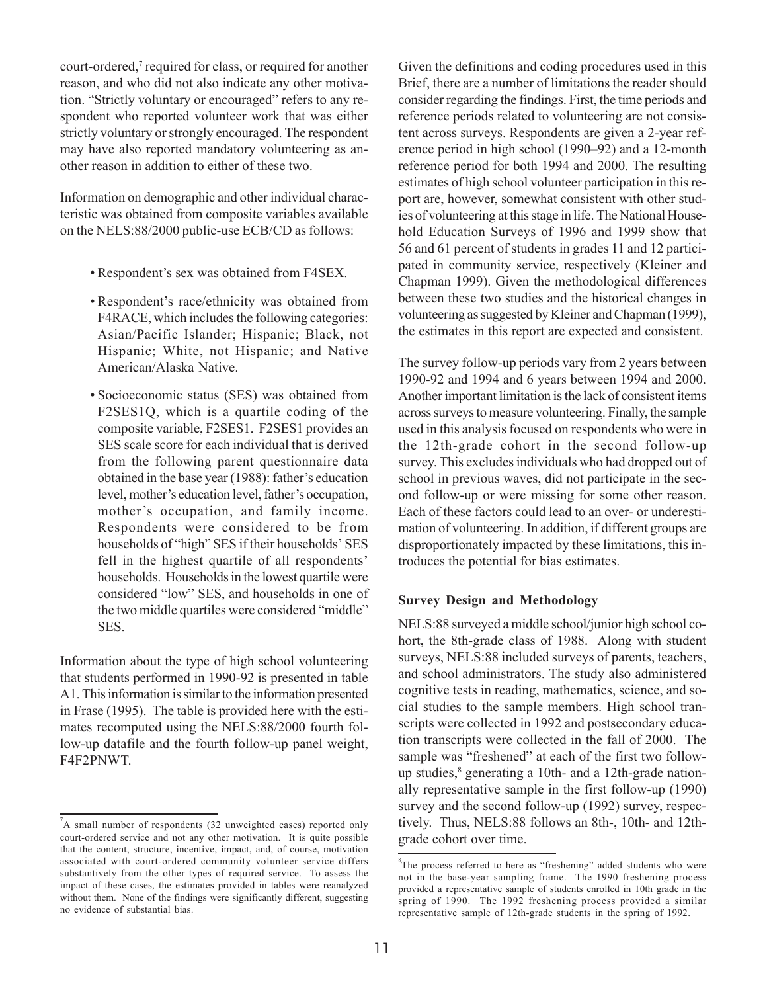court-ordered,<sup>7</sup> required for class, or required for another reason, and who did not also indicate any other motivation. "Strictly voluntary or encouraged" refers to any respondent who reported volunteer work that was either strictly voluntary or strongly encouraged. The respondent may have also reported mandatory volunteering as another reason in addition to either of these two.

Information on demographic and other individual characteristic was obtained from composite variables available on the NELS:88/2000 public-use ECB/CD as follows:

- Respondent's sex was obtained from F4SEX.
- Respondent's race/ethnicity was obtained from F4RACE, which includes the following categories: Asian/Pacific Islander; Hispanic; Black, not Hispanic; White, not Hispanic; and Native American/Alaska Native.
- Socioeconomic status (SES) was obtained from F2SES1Q, which is a quartile coding of the composite variable, F2SES1. F2SES1 provides an SES scale score for each individual that is derived from the following parent questionnaire data obtained in the base year  $(1988)$ : father's education level, mother's education level, father's occupation, mother's occupation, and family income. Respondents were considered to be from households of "high" SES if their households' SES fell in the highest quartile of all respondents households. Households in the lowest quartile were considered "low" SES, and households in one of the two middle quartiles were considered "middle" SES.

Information about the type of high school volunteering that students performed in 1990-92 is presented in table A1. This information is similar to the information presented in Frase (1995). The table is provided here with the estimates recomputed using the NELS:88/2000 fourth follow-up datafile and the fourth follow-up panel weight, F4F2PNWT.

Given the definitions and coding procedures used in this Brief, there are a number of limitations the reader should consider regarding the findings. First, the time periods and reference periods related to volunteering are not consistent across surveys. Respondents are given a 2-year reference period in high school (1990–92) and a 12-month reference period for both 1994 and 2000. The resulting estimates of high school volunteer participation in this report are, however, somewhat consistent with other studies of volunteering at this stage in life. The National Household Education Surveys of 1996 and 1999 show that 56 and 61 percent of students in grades 11 and 12 participated in community service, respectively (Kleiner and Chapman 1999). Given the methodological differences between these two studies and the historical changes in volunteering as suggested by Kleiner and Chapman (1999), the estimates in this report are expected and consistent.

The survey follow-up periods vary from 2 years between 1990-92 and 1994 and 6 years between 1994 and 2000. Another important limitation is the lack of consistent items across surveys to measure volunteering. Finally, the sample used in this analysis focused on respondents who were in the 12th-grade cohort in the second follow-up survey. This excludes individuals who had dropped out of school in previous waves, did not participate in the second follow-up or were missing for some other reason. Each of these factors could lead to an over- or underestimation of volunteering. In addition, if different groups are disproportionately impacted by these limitations, this introduces the potential for bias estimates.

# **Survey Design and Methodology**

NELS:88 surveyed a middle school/junior high school cohort, the 8th-grade class of 1988. Along with student surveys, NELS:88 included surveys of parents, teachers, and school administrators. The study also administered cognitive tests in reading, mathematics, science, and social studies to the sample members. High school transcripts were collected in 1992 and postsecondary education transcripts were collected in the fall of 2000. The sample was "freshened" at each of the first two followup studies,<sup>8</sup> generating a 10th- and a 12th-grade nationally representative sample in the first follow-up (1990) survey and the second follow-up (1992) survey, respectively. Thus, NELS:88 follows an 8th-, 10th- and 12thgrade cohort over time.

A small number of respondents (32 unweighted cases) reported only court-ordered service and not any other motivation. It is quite possible that the content, structure, incentive, impact, and, of course, motivation associated with court-ordered community volunteer service differs substantively from the other types of required service. To assess the impact of these cases, the estimates provided in tables were reanalyzed without them. None of the findings were significantly different, suggesting no evidence of substantial bias.

 ${}^{8}$ The process referred to here as "freshening" added students who were not in the base-year sampling frame. The 1990 freshening process provided a representative sample of students enrolled in 10th grade in the spring of 1990. The 1992 freshening process provided a similar representative sample of 12th-grade students in the spring of 1992.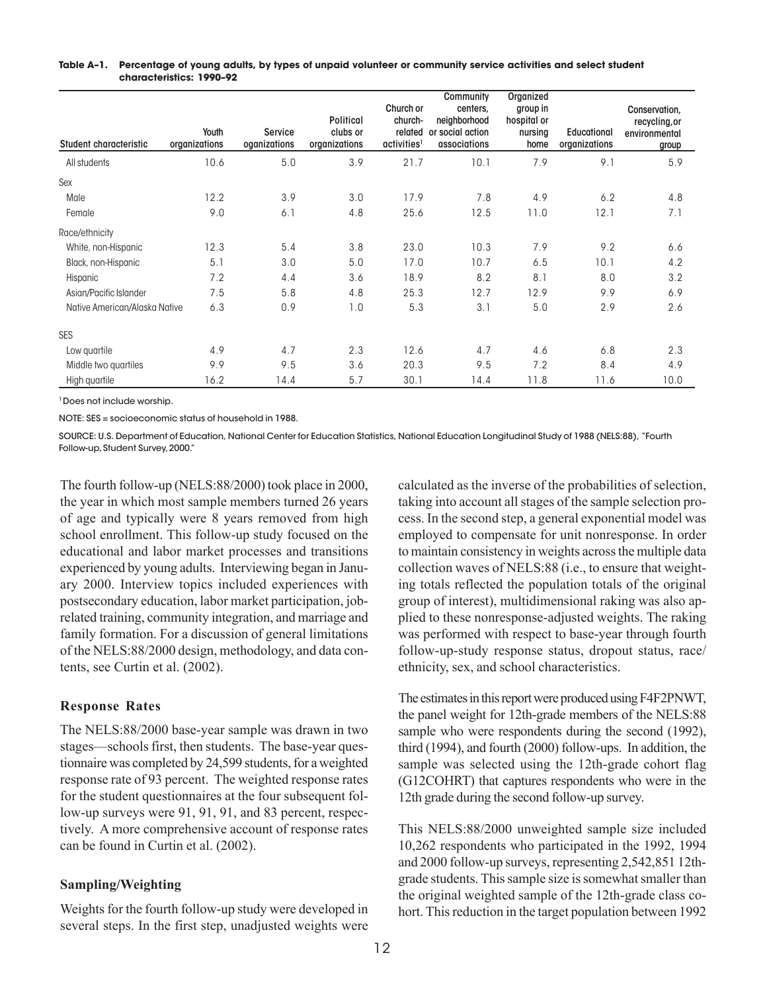#### **Table A–1. Percentage of young adults, by types of unpaid volunteer or community service activities and select student characteristics: 1990–92**

| <b>Student characteristic</b> | Youth<br>organizations | <b>Service</b><br>oganizations | <b>Political</b><br>clubs or<br>organizations | Church or<br>church-<br>related<br>activities <sup>1</sup> | <b>Community</b><br>centers,<br>neighborhood<br>or social action<br>associations | Organized<br>group in<br>hospital or<br>nursing<br>home | <b>Educational</b><br>organizations | Conservation,<br>recycling, or<br>environmental<br>group |
|-------------------------------|------------------------|--------------------------------|-----------------------------------------------|------------------------------------------------------------|----------------------------------------------------------------------------------|---------------------------------------------------------|-------------------------------------|----------------------------------------------------------|
| All students                  | 10.6                   | 5.0                            | 3.9                                           | 21.7                                                       | 10.1                                                                             | 7.9                                                     | 9.1                                 | 5.9                                                      |
| Sex                           |                        |                                |                                               |                                                            |                                                                                  |                                                         |                                     |                                                          |
| Male                          | 12.2                   | 3.9                            | 3.0                                           | 17.9                                                       | 7.8                                                                              | 4.9                                                     | 6.2                                 | 4.8                                                      |
| Female                        | 9.0                    | 6.1                            | 4.8                                           | 25.6                                                       | 12.5                                                                             | 11.0                                                    | 12.1                                | 7.1                                                      |
| Race/ethnicity                |                        |                                |                                               |                                                            |                                                                                  |                                                         |                                     |                                                          |
| White, non-Hispanic           | 12.3                   | 5.4                            | 3.8                                           | 23.0                                                       | 10.3                                                                             | 7.9                                                     | 9.2                                 | 6.6                                                      |
| Black, non-Hispanic           | 5.1                    | 3.0                            | 5.0                                           | 17.0                                                       | 10.7                                                                             | 6.5                                                     | 10.1                                | 4.2                                                      |
| Hispanic                      | 7.2                    | 4.4                            | 3.6                                           | 18.9                                                       | 8.2                                                                              | 8.1                                                     | 8.0                                 | 3.2                                                      |
| Asian/Pacific Islander        | 7.5                    | 5.8                            | 4.8                                           | 25.3                                                       | 12.7                                                                             | 12.9                                                    | 9.9                                 | 6.9                                                      |
| Native American/Alaska Native | 6.3                    | 0.9                            | 1.0                                           | 5.3                                                        | 3.1                                                                              | 5.0                                                     | 2.9                                 | 2.6                                                      |
| <b>SES</b>                    |                        |                                |                                               |                                                            |                                                                                  |                                                         |                                     |                                                          |
| Low quartile                  | 4.9                    | 4.7                            | 2.3                                           | 12.6                                                       | 4.7                                                                              | 4.6                                                     | 6.8                                 | 2.3                                                      |
| Middle two quartiles          | 9.9                    | 9.5                            | 3.6                                           | 20.3                                                       | 9.5                                                                              | 7.2                                                     | 8.4                                 | 4.9                                                      |
| High quartile                 | 16.2                   | 14.4                           | 5.7                                           | 30.1                                                       | 14.4                                                                             | 11.8                                                    | 11.6                                | 10.0                                                     |

1 Does not include worship.

NOTE: SES = socioeconomic status of household in 1988.

SOURCE: U.S. Department of Education, National Center for Education Statistics, National Education Longitudinal Study of 1988 (NELS:88), "Fourth Follow-up, Student Survey, 2000."

The fourth follow-up (NELS:88/2000) took place in 2000, the year in which most sample members turned 26 years of age and typically were 8 years removed from high school enrollment. This follow-up study focused on the educational and labor market processes and transitions experienced by young adults. Interviewing began in January 2000. Interview topics included experiences with postsecondary education, labor market participation, jobrelated training, community integration, and marriage and family formation. For a discussion of general limitations of the NELS:88/2000 design, methodology, and data contents, see Curtin et al. (2002).

# **Response Rates**

The NELS:88/2000 base-year sample was drawn in two stages—schools first, then students. The base-year questionnaire was completed by 24,599 students, for a weighted response rate of 93 percent. The weighted response rates for the student questionnaires at the four subsequent follow-up surveys were 91, 91, 91, and 83 percent, respectively. A more comprehensive account of response rates can be found in Curtin et al. (2002).

# **Sampling/Weighting**

Weights for the fourth follow-up study were developed in several steps. In the first step, unadjusted weights were

calculated as the inverse of the probabilities of selection, taking into account all stages of the sample selection process. In the second step, a general exponential model was employed to compensate for unit nonresponse. In order to maintain consistency in weights across the multiple data collection waves of NELS:88 (i.e., to ensure that weighting totals reflected the population totals of the original group of interest), multidimensional raking was also applied to these nonresponse-adjusted weights. The raking was performed with respect to base-year through fourth follow-up-study response status, dropout status, race/ ethnicity, sex, and school characteristics.

The estimates in this report were produced using F4F2PNWT, the panel weight for 12th-grade members of the NELS:88 sample who were respondents during the second (1992), third (1994), and fourth (2000) follow-ups. In addition, the sample was selected using the 12th-grade cohort flag (G12COHRT) that captures respondents who were in the 12th grade during the second follow-up survey.

This NELS:88/2000 unweighted sample size included 10,262 respondents who participated in the 1992, 1994 and 2000 follow-up surveys, representing 2,542,851 12thgrade students. This sample size is somewhat smaller than the original weighted sample of the 12th-grade class cohort. This reduction in the target population between 1992